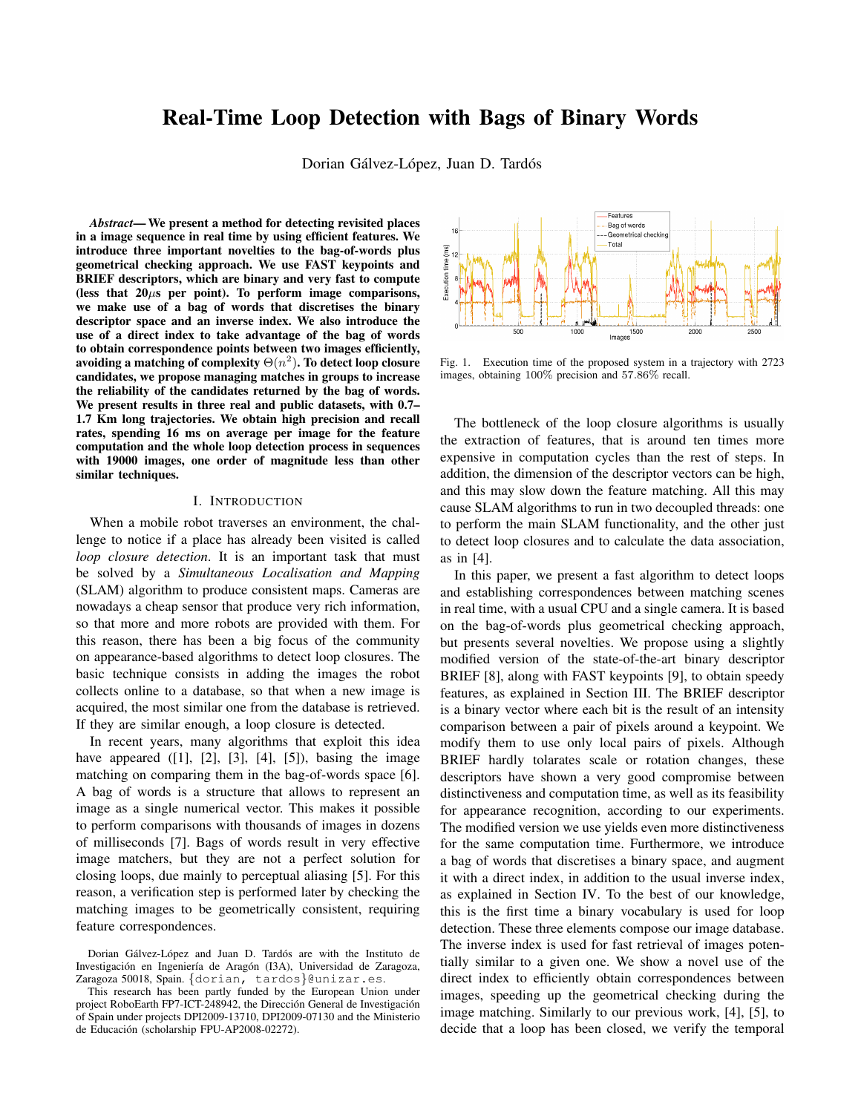# Real-Time Loop Detection with Bags of Binary Words

Dorian Gálvez-López, Juan D. Tardós

*Abstract*— We present a method for detecting revisited places in a image sequence in real time by using efficient features. We introduce three important novelties to the bag-of-words plus geometrical checking approach. We use FAST keypoints and BRIEF descriptors, which are binary and very fast to compute (less that  $20\mu s$  per point). To perform image comparisons, we make use of a bag of words that discretises the binary descriptor space and an inverse index. We also introduce the use of a direct index to take advantage of the bag of words to obtain correspondence points between two images efficiently, avoiding a matching of complexity  $\Theta(n^2)$ . To detect loop closure candidates, we propose managing matches in groups to increase the reliability of the candidates returned by the bag of words. We present results in three real and public datasets, with 0.7– 1.7 Km long trajectories. We obtain high precision and recall rates, spending 16 ms on average per image for the feature computation and the whole loop detection process in sequences with 19000 images, one order of magnitude less than other similar techniques.

#### I. INTRODUCTION

When a mobile robot traverses an environment, the challenge to notice if a place has already been visited is called *loop closure detection*. It is an important task that must be solved by a *Simultaneous Localisation and Mapping* (SLAM) algorithm to produce consistent maps. Cameras are nowadays a cheap sensor that produce very rich information, so that more and more robots are provided with them. For this reason, there has been a big focus of the community on appearance-based algorithms to detect loop closures. The basic technique consists in adding the images the robot collects online to a database, so that when a new image is acquired, the most similar one from the database is retrieved. If they are similar enough, a loop closure is detected.

In recent years, many algorithms that exploit this idea have appeared  $([1], [2], [3], [4], [5])$ , basing the image matching on comparing them in the bag-of-words space [6]. A bag of words is a structure that allows to represent an image as a single numerical vector. This makes it possible to perform comparisons with thousands of images in dozens of milliseconds [7]. Bags of words result in very effective image matchers, but they are not a perfect solution for closing loops, due mainly to perceptual aliasing [5]. For this reason, a verification step is performed later by checking the matching images to be geometrically consistent, requiring feature correspondences.



Fig. 1. Execution time of the proposed system in a trajectory with 2723 images, obtaining 100% precision and 57.86% recall.

The bottleneck of the loop closure algorithms is usually the extraction of features, that is around ten times more expensive in computation cycles than the rest of steps. In addition, the dimension of the descriptor vectors can be high, and this may slow down the feature matching. All this may cause SLAM algorithms to run in two decoupled threads: one to perform the main SLAM functionality, and the other just to detect loop closures and to calculate the data association, as in [4].

In this paper, we present a fast algorithm to detect loops and establishing correspondences between matching scenes in real time, with a usual CPU and a single camera. It is based on the bag-of-words plus geometrical checking approach, but presents several novelties. We propose using a slightly modified version of the state-of-the-art binary descriptor BRIEF [8], along with FAST keypoints [9], to obtain speedy features, as explained in Section III. The BRIEF descriptor is a binary vector where each bit is the result of an intensity comparison between a pair of pixels around a keypoint. We modify them to use only local pairs of pixels. Although BRIEF hardly tolarates scale or rotation changes, these descriptors have shown a very good compromise between distinctiveness and computation time, as well as its feasibility for appearance recognition, according to our experiments. The modified version we use yields even more distinctiveness for the same computation time. Furthermore, we introduce a bag of words that discretises a binary space, and augment it with a direct index, in addition to the usual inverse index, as explained in Section IV. To the best of our knowledge, this is the first time a binary vocabulary is used for loop detection. These three elements compose our image database. The inverse index is used for fast retrieval of images potentially similar to a given one. We show a novel use of the direct index to efficiently obtain correspondences between images, speeding up the geometrical checking during the image matching. Similarly to our previous work, [4], [5], to decide that a loop has been closed, we verify the temporal

Dorian Gálvez-López and Juan D. Tardós are with the Instituto de Investigación en Ingeniería de Aragón (I3A), Universidad de Zaragoza, Zaragoza 50018, Spain. {dorian, tardos}@unizar.es.

This research has been partly funded by the European Union under project RoboEarth FP7-ICT-248942, the Dirección General de Investigación of Spain under projects DPI2009-13710, DPI2009-07130 and the Ministerio de Educación (scholarship FPU-AP2008-02272).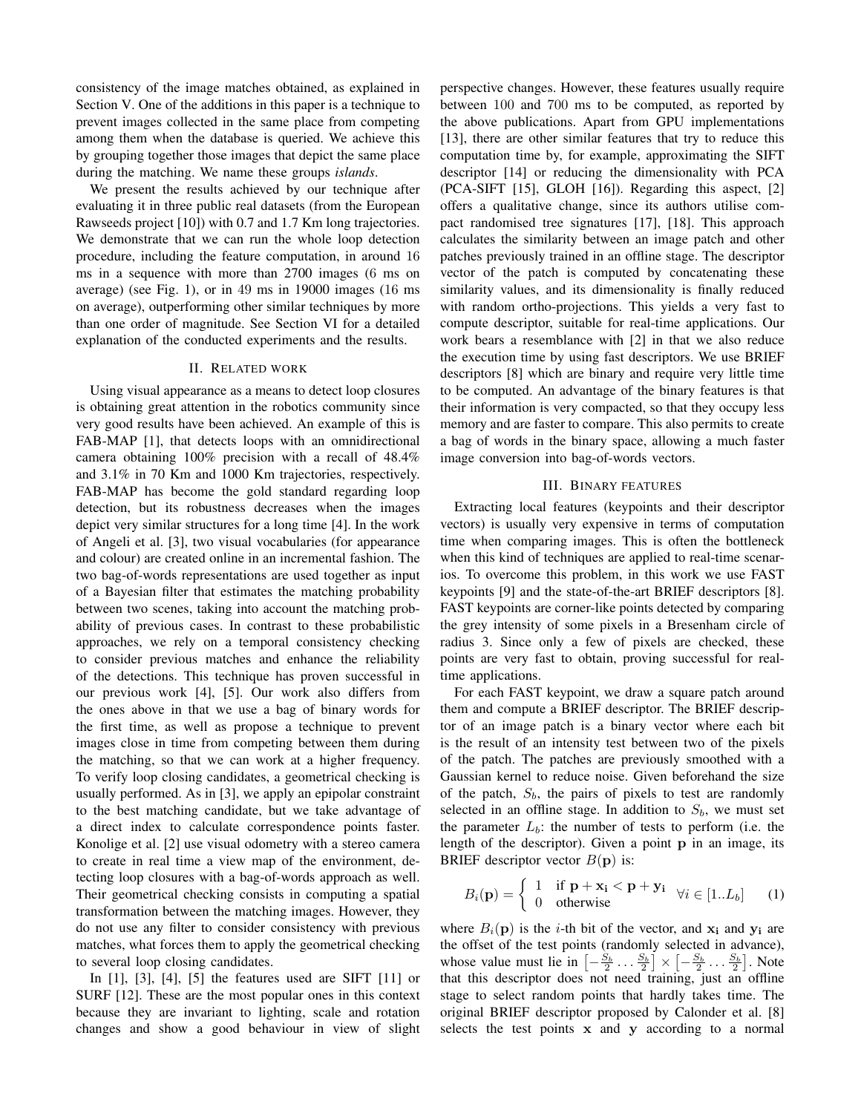consistency of the image matches obtained, as explained in Section V. One of the additions in this paper is a technique to prevent images collected in the same place from competing among them when the database is queried. We achieve this by grouping together those images that depict the same place during the matching. We name these groups *islands*.

We present the results achieved by our technique after evaluating it in three public real datasets (from the European Rawseeds project [10]) with 0.7 and 1.7 Km long trajectories. We demonstrate that we can run the whole loop detection procedure, including the feature computation, in around 16 ms in a sequence with more than 2700 images (6 ms on average) (see Fig. 1), or in 49 ms in 19000 images (16 ms on average), outperforming other similar techniques by more than one order of magnitude. See Section VI for a detailed explanation of the conducted experiments and the results.

### II. RELATED WORK

Using visual appearance as a means to detect loop closures is obtaining great attention in the robotics community since very good results have been achieved. An example of this is FAB-MAP [1], that detects loops with an omnidirectional camera obtaining 100% precision with a recall of 48.4% and 3.1% in 70 Km and 1000 Km trajectories, respectively. FAB-MAP has become the gold standard regarding loop detection, but its robustness decreases when the images depict very similar structures for a long time [4]. In the work of Angeli et al. [3], two visual vocabularies (for appearance and colour) are created online in an incremental fashion. The two bag-of-words representations are used together as input of a Bayesian filter that estimates the matching probability between two scenes, taking into account the matching probability of previous cases. In contrast to these probabilistic approaches, we rely on a temporal consistency checking to consider previous matches and enhance the reliability of the detections. This technique has proven successful in our previous work [4], [5]. Our work also differs from the ones above in that we use a bag of binary words for the first time, as well as propose a technique to prevent images close in time from competing between them during the matching, so that we can work at a higher frequency. To verify loop closing candidates, a geometrical checking is usually performed. As in [3], we apply an epipolar constraint to the best matching candidate, but we take advantage of a direct index to calculate correspondence points faster. Konolige et al. [2] use visual odometry with a stereo camera to create in real time a view map of the environment, detecting loop closures with a bag-of-words approach as well. Their geometrical checking consists in computing a spatial transformation between the matching images. However, they do not use any filter to consider consistency with previous matches, what forces them to apply the geometrical checking to several loop closing candidates.

In [1], [3], [4], [5] the features used are SIFT [11] or SURF [12]. These are the most popular ones in this context because they are invariant to lighting, scale and rotation changes and show a good behaviour in view of slight perspective changes. However, these features usually require between 100 and 700 ms to be computed, as reported by the above publications. Apart from GPU implementations [13], there are other similar features that try to reduce this computation time by, for example, approximating the SIFT descriptor [14] or reducing the dimensionality with PCA (PCA-SIFT [15], GLOH [16]). Regarding this aspect, [2] offers a qualitative change, since its authors utilise compact randomised tree signatures [17], [18]. This approach calculates the similarity between an image patch and other patches previously trained in an offline stage. The descriptor vector of the patch is computed by concatenating these similarity values, and its dimensionality is finally reduced with random ortho-projections. This yields a very fast to compute descriptor, suitable for real-time applications. Our work bears a resemblance with [2] in that we also reduce the execution time by using fast descriptors. We use BRIEF descriptors [8] which are binary and require very little time to be computed. An advantage of the binary features is that their information is very compacted, so that they occupy less memory and are faster to compare. This also permits to create a bag of words in the binary space, allowing a much faster image conversion into bag-of-words vectors.

## III. BINARY FEATURES

Extracting local features (keypoints and their descriptor vectors) is usually very expensive in terms of computation time when comparing images. This is often the bottleneck when this kind of techniques are applied to real-time scenarios. To overcome this problem, in this work we use FAST keypoints [9] and the state-of-the-art BRIEF descriptors [8]. FAST keypoints are corner-like points detected by comparing the grey intensity of some pixels in a Bresenham circle of radius 3. Since only a few of pixels are checked, these points are very fast to obtain, proving successful for realtime applications.

For each FAST keypoint, we draw a square patch around them and compute a BRIEF descriptor. The BRIEF descriptor of an image patch is a binary vector where each bit is the result of an intensity test between two of the pixels of the patch. The patches are previously smoothed with a Gaussian kernel to reduce noise. Given beforehand the size of the patch,  $S_b$ , the pairs of pixels to test are randomly selected in an offline stage. In addition to  $S_b$ , we must set the parameter  $L_b$ : the number of tests to perform (i.e. the length of the descriptor). Given a point  $p$  in an image, its BRIEF descriptor vector  $B(\mathbf{p})$  is:

$$
B_i(\mathbf{p}) = \begin{cases} 1 & \text{if } \mathbf{p} + \mathbf{x_i} < \mathbf{p} + \mathbf{y_i} \\ 0 & \text{otherwise} \end{cases} \quad (1)
$$

where  $B_i(\mathbf{p})$  is the *i*-th bit of the vector, and  $\mathbf{x}_i$  and  $\mathbf{y}_i$  are the offset of the test points (randomly selected in advance), whose value must lie in  $\left[-\frac{S_b}{2} \dots \frac{S_b}{2}\right] \times \left[-\frac{S_b}{2} \dots \frac{S_b}{2}\right]$ . Note that this descriptor does not need training, just an offline stage to select random points that hardly takes time. The original BRIEF descriptor proposed by Calonder et al. [8] selects the test points x and y according to a normal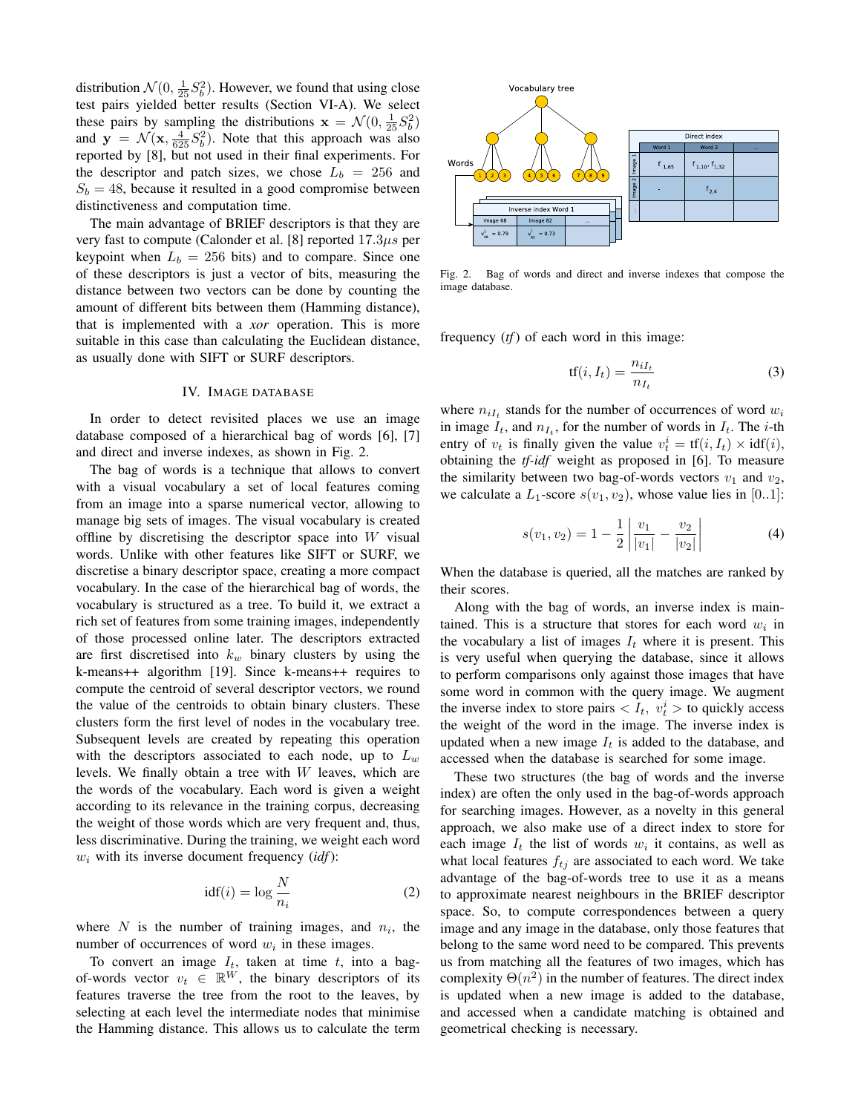distribution  $\mathcal{N}(0, \frac{1}{25}S_b^2)$ . However, we found that using close test pairs yielded better results (Section VI-A). We select these pairs by sampling the distributions  $\mathbf{x} = \mathcal{N}(0, \frac{1}{25}S_b^2)$ and  $y = \mathcal{N}(x, \frac{4}{625}S_b^2)$ . Note that this approach was also reported by [8], but not used in their final experiments. For the descriptor and patch sizes, we chose  $L_b = 256$  and  $S_b = 48$ , because it resulted in a good compromise between distinctiveness and computation time.

The main advantage of BRIEF descriptors is that they are very fast to compute (Calonder et al. [8] reported 17.3µs per keypoint when  $L_b = 256$  bits) and to compare. Since one of these descriptors is just a vector of bits, measuring the distance between two vectors can be done by counting the amount of different bits between them (Hamming distance), that is implemented with a *xor* operation. This is more suitable in this case than calculating the Euclidean distance, as usually done with SIFT or SURF descriptors.

### IV. IMAGE DATABASE

In order to detect revisited places we use an image database composed of a hierarchical bag of words [6], [7] and direct and inverse indexes, as shown in Fig. 2.

The bag of words is a technique that allows to convert with a visual vocabulary a set of local features coming from an image into a sparse numerical vector, allowing to manage big sets of images. The visual vocabulary is created offline by discretising the descriptor space into  $W$  visual words. Unlike with other features like SIFT or SURF, we discretise a binary descriptor space, creating a more compact vocabulary. In the case of the hierarchical bag of words, the vocabulary is structured as a tree. To build it, we extract a rich set of features from some training images, independently of those processed online later. The descriptors extracted are first discretised into  $k_w$  binary clusters by using the k-means++ algorithm [19]. Since k-means++ requires to compute the centroid of several descriptor vectors, we round the value of the centroids to obtain binary clusters. These clusters form the first level of nodes in the vocabulary tree. Subsequent levels are created by repeating this operation with the descriptors associated to each node, up to  $L_w$ levels. We finally obtain a tree with W leaves, which are the words of the vocabulary. Each word is given a weight according to its relevance in the training corpus, decreasing the weight of those words which are very frequent and, thus, less discriminative. During the training, we weight each word  $w_i$  with its inverse document frequency  $(idf)$ :

$$
idf(i) = \log \frac{N}{n_i} \tag{2}
$$

where  $N$  is the number of training images, and  $n_i$ , the number of occurrences of word  $w_i$  in these images.

To convert an image  $I_t$ , taken at time  $t$ , into a bagof-words vector  $v_t \in \mathbb{R}^W$ , the binary descriptors of its features traverse the tree from the root to the leaves, by selecting at each level the intermediate nodes that minimise the Hamming distance. This allows us to calculate the term



Fig. 2. Bag of words and direct and inverse indexes that compose the image database.

frequency (*tf*) of each word in this image:

$$
tf(i, I_t) = \frac{n_{iI_t}}{n_{I_t}}\tag{3}
$$

where  $n_{iI_t}$  stands for the number of occurrences of word  $w_i$ in image  $I_t$ , and  $n_{I_t}$ , for the number of words in  $I_t$ . The *i*-th entry of  $v_t$  is finally given the value  $v_t^i = tf(i, I_t) \times idf(i)$ , obtaining the *tf-idf* weight as proposed in [6]. To measure the similarity between two bag-of-words vectors  $v_1$  and  $v_2$ , we calculate a  $L_1$ -score  $s(v_1, v_2)$ , whose value lies in [0..1]:

$$
s(v_1, v_2) = 1 - \frac{1}{2} \left| \frac{v_1}{|v_1|} - \frac{v_2}{|v_2|} \right| \tag{4}
$$

When the database is queried, all the matches are ranked by their scores.

Along with the bag of words, an inverse index is maintained. This is a structure that stores for each word  $w_i$  in the vocabulary a list of images  $I_t$  where it is present. This is very useful when querying the database, since it allows to perform comparisons only against those images that have some word in common with the query image. We augment the inverse index to store pairs  $\langle I_t, v_t^i \rangle$  to quickly access the weight of the word in the image. The inverse index is updated when a new image  $I_t$  is added to the database, and accessed when the database is searched for some image.

These two structures (the bag of words and the inverse index) are often the only used in the bag-of-words approach for searching images. However, as a novelty in this general approach, we also make use of a direct index to store for each image  $I_t$  the list of words  $w_i$  it contains, as well as what local features  $f_{tj}$  are associated to each word. We take advantage of the bag-of-words tree to use it as a means to approximate nearest neighbours in the BRIEF descriptor space. So, to compute correspondences between a query image and any image in the database, only those features that belong to the same word need to be compared. This prevents us from matching all the features of two images, which has complexity  $\Theta(n^2)$  in the number of features. The direct index is updated when a new image is added to the database, and accessed when a candidate matching is obtained and geometrical checking is necessary.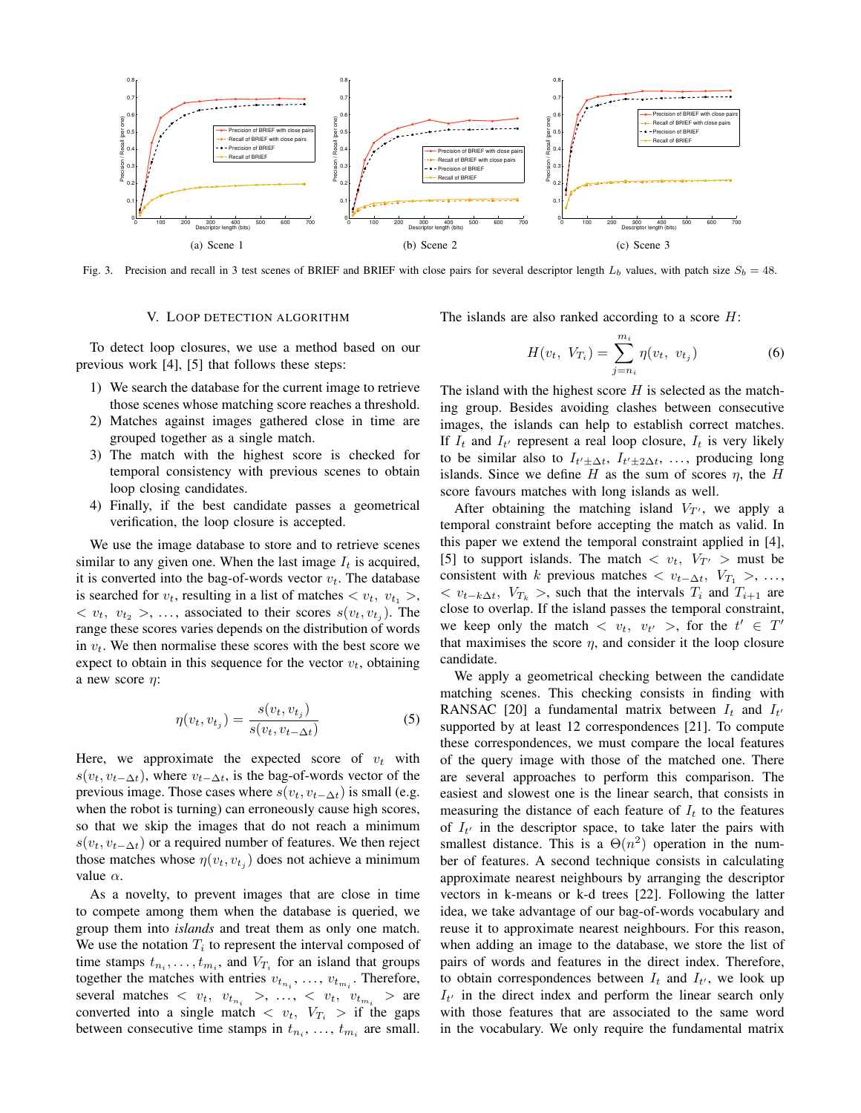

Fig. 3. Precision and recall in 3 test scenes of BRIEF and BRIEF with close pairs for several descriptor length  $L_b$  values, with patch size  $S_b = 48$ .

## V. LOOP DETECTION ALGORITHM

The islands are also ranked according to a score  $H$ :

To detect loop closures, we use a method based on our previous work [4], [5] that follows these steps:

- 1) We search the database for the current image to retrieve those scenes whose matching score reaches a threshold.
- 2) Matches against images gathered close in time are grouped together as a single match.
- 3) The match with the highest score is checked for temporal consistency with previous scenes to obtain loop closing candidates.
- 4) Finally, if the best candidate passes a geometrical verification, the loop closure is accepted.

We use the image database to store and to retrieve scenes similar to any given one. When the last image  $I_t$  is acquired, it is converted into the bag-of-words vector  $v_t$ . The database is searched for  $v_t$ , resulting in a list of matches  $\langle v_t, v_{t_1} \rangle$ ,  $\langle v_t, v_{t_2} \rangle$ , ..., associated to their scores  $s(v_t, v_{t_j})$ . The range these scores varies depends on the distribution of words in  $v_t$ . We then normalise these scores with the best score we expect to obtain in this sequence for the vector  $v_t$ , obtaining a new score  $\eta$ :

$$
\eta(v_t, v_{t_j}) = \frac{s(v_t, v_{t_j})}{s(v_t, v_{t-\Delta t})}
$$
\n
$$
(5)
$$

Here, we approximate the expected score of  $v_t$  with  $s(v_t, v_{t-\Delta t})$ , where  $v_{t-\Delta t}$ , is the bag-of-words vector of the previous image. Those cases where  $s(v_t, v_{t-\Delta t})$  is small (e.g. when the robot is turning) can erroneously cause high scores, so that we skip the images that do not reach a minimum  $s(v_t, v_{t-\Delta t})$  or a required number of features. We then reject those matches whose  $\eta(v_t, v_{t_j})$  does not achieve a minimum value  $\alpha$ .

As a novelty, to prevent images that are close in time to compete among them when the database is queried, we group them into *islands* and treat them as only one match. We use the notation  $T_i$  to represent the interval composed of time stamps  $t_{n_i}, \ldots, t_{m_i}$ , and  $V_{T_i}$  for an island that groups together the matches with entries  $v_{t_{n_i}}, \ldots, v_{t_{m_i}}$ . Therefore, several matches  $\langle v_t, v_{t_{n_i}} \rangle, \dots, \langle v_t, v_{t_{m_i}} \rangle$  are converted into a single match  $\langle v_t, V_{T_i} \rangle$  if the gaps between consecutive time stamps in  $t_{n_i}, \ldots, t_{m_i}$  are small.

$$
H(v_t, V_{T_i}) = \sum_{j=n_i}^{m_i} \eta(v_t, v_{t_j})
$$
 (6)

The island with the highest score  $H$  is selected as the matching group. Besides avoiding clashes between consecutive images, the islands can help to establish correct matches. If  $I_t$  and  $I_{t'}$  represent a real loop closure,  $I_t$  is very likely to be similar also to  $I_{t' \pm \Delta t}$ ,  $I_{t' \pm 2\Delta t}$ , ..., producing long islands. Since we define H as the sum of scores  $\eta$ , the H score favours matches with long islands as well.

After obtaining the matching island  $V_{T}$ , we apply a temporal constraint before accepting the match as valid. In this paper we extend the temporal constraint applied in [4], [5] to support islands. The match  $\langle v_t, V_{T'} \rangle$  must be consistent with k previous matches  $\langle v_{t-\Delta t}, V_{T_1} \rangle, \ldots,$  $\langle v_{t-k\Delta t}, V_{T_k} \rangle$ , such that the intervals  $T_i$  and  $T_{i+1}$  are close to overlap. If the island passes the temporal constraint, we keep only the match  $\langle v_t, v_{t'} \rangle$ , for the  $t' \in T'$ that maximises the score  $\eta$ , and consider it the loop closure candidate.

We apply a geometrical checking between the candidate matching scenes. This checking consists in finding with RANSAC [20] a fundamental matrix between  $I_t$  and  $I_{t'}$ supported by at least 12 correspondences [21]. To compute these correspondences, we must compare the local features of the query image with those of the matched one. There are several approaches to perform this comparison. The easiest and slowest one is the linear search, that consists in measuring the distance of each feature of  $I_t$  to the features of  $I_{t'}$  in the descriptor space, to take later the pairs with smallest distance. This is a  $\Theta(n^2)$  operation in the number of features. A second technique consists in calculating approximate nearest neighbours by arranging the descriptor vectors in k-means or k-d trees [22]. Following the latter idea, we take advantage of our bag-of-words vocabulary and reuse it to approximate nearest neighbours. For this reason, when adding an image to the database, we store the list of pairs of words and features in the direct index. Therefore, to obtain correspondences between  $I_t$  and  $I_{t'}$ , we look up  $I_{t'}$  in the direct index and perform the linear search only with those features that are associated to the same word in the vocabulary. We only require the fundamental matrix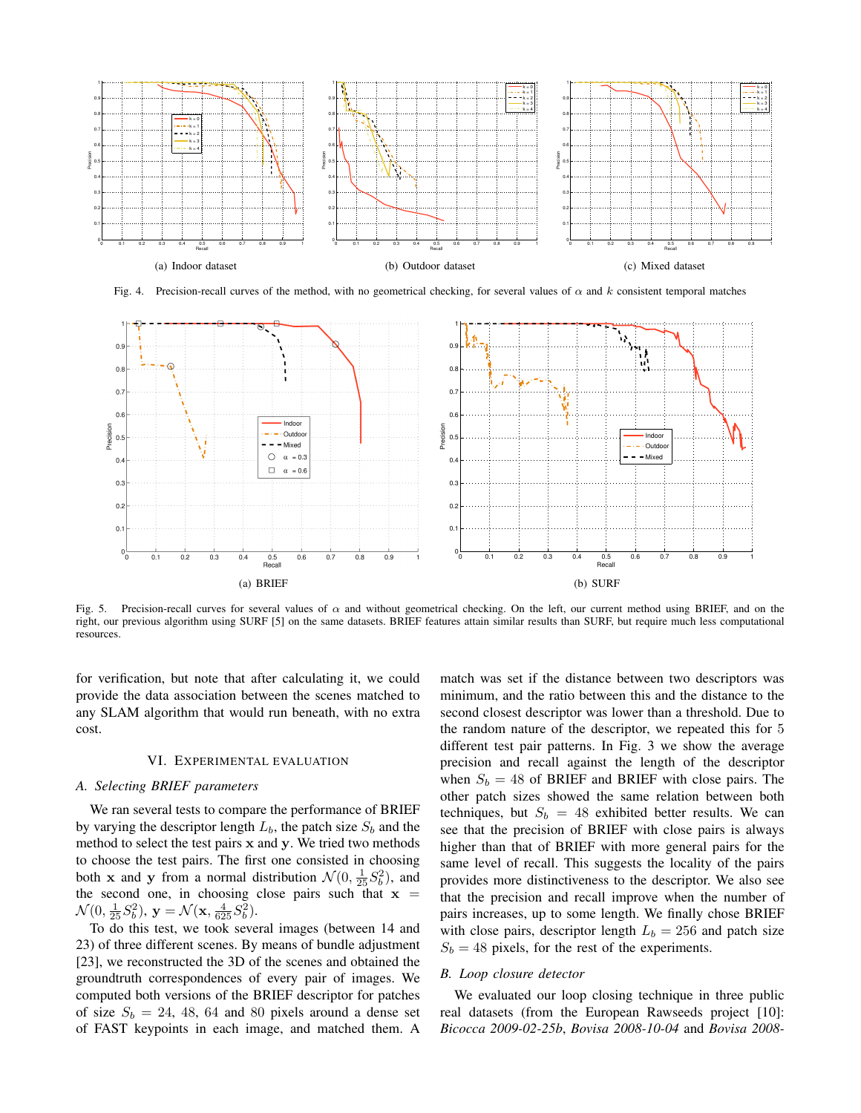

Fig. 4. Precision-recall curves of the method, with no geometrical checking, for several values of  $\alpha$  and k consistent temporal matches



Fig. 5. Precision-recall curves for several values of  $\alpha$  and without geometrical checking. On the left, our current method using BRIEF, and on the right, our previous algorithm using SURF [5] on the same datasets. BRIEF features attain similar results than SURF, but require much less computational resources.

for verification, but note that after calculating it, we could provide the data association between the scenes matched to any SLAM algorithm that would run beneath, with no extra cost.

### VI. EXPERIMENTAL EVALUATION

## *A. Selecting BRIEF parameters*

We ran several tests to compare the performance of BRIEF by varying the descriptor length  $L_b$ , the patch size  $S_b$  and the method to select the test pairs  $x$  and  $y$ . We tried two methods to choose the test pairs. The first one consisted in choosing both **x** and **y** from a normal distribution  $\mathcal{N}(0, \frac{1}{25}S_b^2)$ , and the second one, in choosing close pairs such that  $x =$  $\mathcal{N}(0, \frac{1}{25}S_b^2), \mathbf{y} = \mathcal{N}(\mathbf{x}, \frac{4}{625}S_b^2).$ 

To do this test, we took several images (between 14 and 23) of three different scenes. By means of bundle adjustment [23], we reconstructed the 3D of the scenes and obtained the groundtruth correspondences of every pair of images. We computed both versions of the BRIEF descriptor for patches of size  $S_b = 24$ , 48, 64 and 80 pixels around a dense set of FAST keypoints in each image, and matched them. A

match was set if the distance between two descriptors was minimum, and the ratio between this and the distance to the second closest descriptor was lower than a threshold. Due to the random nature of the descriptor, we repeated this for 5 different test pair patterns. In Fig. 3 we show the average precision and recall against the length of the descriptor when  $S_b = 48$  of BRIEF and BRIEF with close pairs. The other patch sizes showed the same relation between both techniques, but  $S_b = 48$  exhibited better results. We can see that the precision of BRIEF with close pairs is always higher than that of BRIEF with more general pairs for the same level of recall. This suggests the locality of the pairs provides more distinctiveness to the descriptor. We also see that the precision and recall improve when the number of pairs increases, up to some length. We finally chose BRIEF with close pairs, descriptor length  $L_b = 256$  and patch size  $S_b = 48$  pixels, for the rest of the experiments.

## *B. Loop closure detector*

We evaluated our loop closing technique in three public real datasets (from the European Rawseeds project [10]: *Bicocca 2009-02-25b*, *Bovisa 2008-10-04* and *Bovisa 2008-*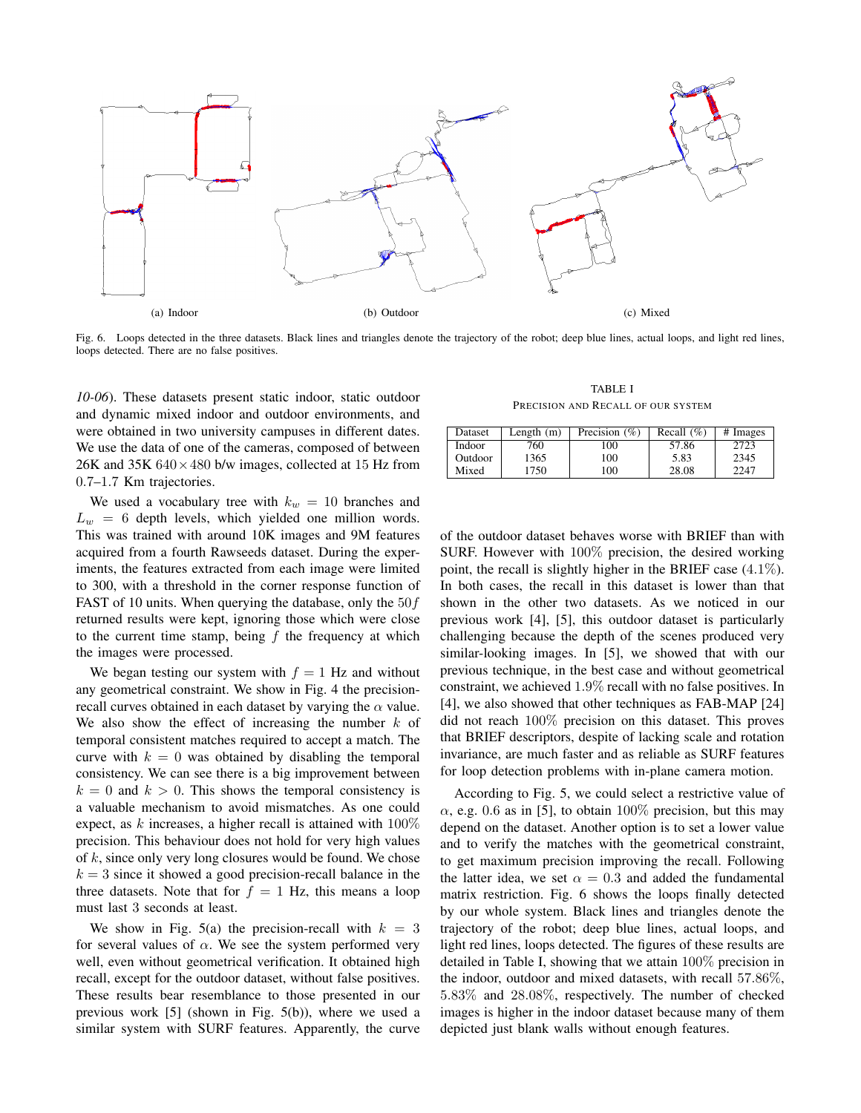

Fig. 6. Loops detected in the three datasets. Black lines and triangles denote the trajectory of the robot; deep blue lines, actual loops, and light red lines, loops detected. There are no false positives.

*10-06*). These datasets present static indoor, static outdoor and dynamic mixed indoor and outdoor environments, and were obtained in two university campuses in different dates. We use the data of one of the cameras, composed of between 26K and 35K  $640 \times 480$  b/w images, collected at 15 Hz from 0.7–1.7 Km trajectories.

We used a vocabulary tree with  $k_w = 10$  branches and  $L_w = 6$  depth levels, which yielded one million words. This was trained with around 10K images and 9M features acquired from a fourth Rawseeds dataset. During the experiments, the features extracted from each image were limited to 300, with a threshold in the corner response function of FAST of 10 units. When querying the database, only the  $50f$ returned results were kept, ignoring those which were close to the current time stamp, being  $f$  the frequency at which the images were processed.

We began testing our system with  $f = 1$  Hz and without any geometrical constraint. We show in Fig. 4 the precisionrecall curves obtained in each dataset by varying the  $\alpha$  value. We also show the effect of increasing the number  $k$  of temporal consistent matches required to accept a match. The curve with  $k = 0$  was obtained by disabling the temporal consistency. We can see there is a big improvement between  $k = 0$  and  $k > 0$ . This shows the temporal consistency is a valuable mechanism to avoid mismatches. As one could expect, as  $k$  increases, a higher recall is attained with  $100\%$ precision. This behaviour does not hold for very high values of  $k$ , since only very long closures would be found. We chose  $k = 3$  since it showed a good precision-recall balance in the three datasets. Note that for  $f = 1$  Hz, this means a loop must last 3 seconds at least.

We show in Fig. 5(a) the precision-recall with  $k = 3$ for several values of  $\alpha$ . We see the system performed very well, even without geometrical verification. It obtained high recall, except for the outdoor dataset, without false positives. These results bear resemblance to those presented in our previous work [5] (shown in Fig. 5(b)), where we used a similar system with SURF features. Apparently, the curve

TABLE I PRECISION AND RECALL OF OUR SYSTEM

| Dataset       | Length (m) | Precision $(\% )$ | Recall $(\% )$ | # Images |
|---------------|------------|-------------------|----------------|----------|
| <b>Indoor</b> | 760        | 100               | 57.86          | 2723     |
| Outdoor       | 1365       | 100               | 5.83           | 2345     |
| Mixed         | 750        | 100               | 28.08          | 2247     |

of the outdoor dataset behaves worse with BRIEF than with SURF. However with 100% precision, the desired working point, the recall is slightly higher in the BRIEF case (4.1%). In both cases, the recall in this dataset is lower than that shown in the other two datasets. As we noticed in our previous work [4], [5], this outdoor dataset is particularly challenging because the depth of the scenes produced very similar-looking images. In [5], we showed that with our previous technique, in the best case and without geometrical constraint, we achieved 1.9% recall with no false positives. In [4], we also showed that other techniques as FAB-MAP [24] did not reach 100% precision on this dataset. This proves that BRIEF descriptors, despite of lacking scale and rotation invariance, are much faster and as reliable as SURF features for loop detection problems with in-plane camera motion.

According to Fig. 5, we could select a restrictive value of  $\alpha$ , e.g. 0.6 as in [5], to obtain 100% precision, but this may depend on the dataset. Another option is to set a lower value and to verify the matches with the geometrical constraint, to get maximum precision improving the recall. Following the latter idea, we set  $\alpha = 0.3$  and added the fundamental matrix restriction. Fig. 6 shows the loops finally detected by our whole system. Black lines and triangles denote the trajectory of the robot; deep blue lines, actual loops, and light red lines, loops detected. The figures of these results are detailed in Table I, showing that we attain 100% precision in the indoor, outdoor and mixed datasets, with recall 57.86%, 5.83% and 28.08%, respectively. The number of checked images is higher in the indoor dataset because many of them depicted just blank walls without enough features.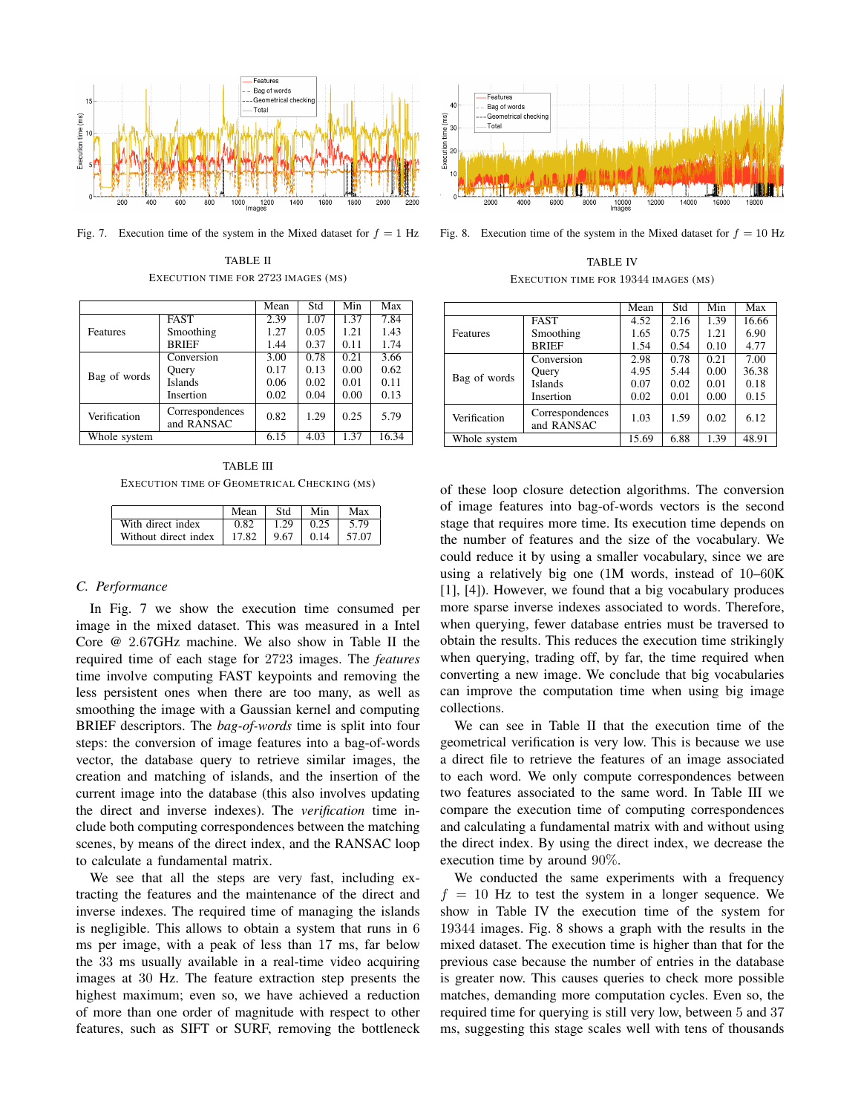

Fig. 7. Execution time of the system in the Mixed dataset for  $f = 1$  Hz

TABLE II EXECUTION TIME FOR 2723 IMAGES (MS)

|                 |                               | Mean | Std  | Min  | Max   |
|-----------------|-------------------------------|------|------|------|-------|
| <b>Features</b> | <b>FAST</b>                   | 2.39 | 1.07 | 1.37 | 7.84  |
|                 | Smoothing                     | 1.27 | 0.05 | 1.21 | 1.43  |
|                 | <b>BRIEF</b>                  | 1.44 | 0.37 | 0.11 | 1.74  |
| Bag of words    | Conversion                    | 3.00 | 0.78 | 0.21 | 3.66  |
|                 | Query                         | 0.17 | 0.13 | 0.00 | 0.62  |
|                 | <b>Islands</b>                | 0.06 | 0.02 | 0.01 | 0.11  |
|                 | Insertion                     | 0.02 | 0.04 | 0.00 | 0.13  |
| Verification    | Correspondences<br>and RANSAC | 0.82 | 1.29 | 0.25 | 5.79  |
| Whole system    |                               | 6.15 | 4.03 | 1.37 | 16.34 |

TABLE III EXECUTION TIME OF GEOMETRICAL CHECKING (MS)

|                      | Mean  | Std  | Min  | Max   |
|----------------------|-------|------|------|-------|
| With direct index    | 0.82  | 1.29 | 0.25 | 5.79  |
| Without direct index | 17.82 | 9.67 | 0.14 | 57.07 |

## *C. Performance*

In Fig. 7 we show the execution time consumed per image in the mixed dataset. This was measured in a Intel Core @ 2.67GHz machine. We also show in Table II the required time of each stage for 2723 images. The *features* time involve computing FAST keypoints and removing the less persistent ones when there are too many, as well as smoothing the image with a Gaussian kernel and computing BRIEF descriptors. The *bag-of-words* time is split into four steps: the conversion of image features into a bag-of-words vector, the database query to retrieve similar images, the creation and matching of islands, and the insertion of the current image into the database (this also involves updating the direct and inverse indexes). The *verification* time include both computing correspondences between the matching scenes, by means of the direct index, and the RANSAC loop to calculate a fundamental matrix.

We see that all the steps are very fast, including extracting the features and the maintenance of the direct and inverse indexes. The required time of managing the islands is negligible. This allows to obtain a system that runs in 6 ms per image, with a peak of less than 17 ms, far below the 33 ms usually available in a real-time video acquiring images at 30 Hz. The feature extraction step presents the highest maximum; even so, we have achieved a reduction of more than one order of magnitude with respect to other features, such as SIFT or SURF, removing the bottleneck



Fig. 8. Execution time of the system in the Mixed dataset for  $f = 10$  Hz

TABLE IV EXECUTION TIME FOR 19344 IMAGES (MS)

|              |                               | Mean  | Std  | Min  | Max   |
|--------------|-------------------------------|-------|------|------|-------|
| Features     | <b>FAST</b>                   | 4.52  | 2.16 | 1.39 | 16.66 |
|              | Smoothing                     | 1.65  | 0.75 | 1.21 | 6.90  |
|              | <b>BRIEF</b>                  | 1.54  | 0.54 | 0.10 | 4.77  |
| Bag of words | Conversion                    | 2.98  | 0.78 | 0.21 | 7.00  |
|              | Query                         | 4.95  | 5.44 | 0.00 | 36.38 |
|              | <b>Islands</b>                | 0.07  | 0.02 | 0.01 | 0.18  |
|              | Insertion                     | 0.02  | 0.01 | 0.00 | 0.15  |
| Verification | Correspondences<br>and RANSAC | 1.03  | 1.59 | 0.02 | 6.12  |
| Whole system |                               | 15.69 | 6.88 | 1.39 | 48.91 |

of these loop closure detection algorithms. The conversion of image features into bag-of-words vectors is the second stage that requires more time. Its execution time depends on the number of features and the size of the vocabulary. We could reduce it by using a smaller vocabulary, since we are using a relatively big one (1M words, instead of 10–60K [1], [4]). However, we found that a big vocabulary produces more sparse inverse indexes associated to words. Therefore, when querying, fewer database entries must be traversed to obtain the results. This reduces the execution time strikingly when querying, trading off, by far, the time required when converting a new image. We conclude that big vocabularies can improve the computation time when using big image collections.

We can see in Table II that the execution time of the geometrical verification is very low. This is because we use a direct file to retrieve the features of an image associated to each word. We only compute correspondences between two features associated to the same word. In Table III we compare the execution time of computing correspondences and calculating a fundamental matrix with and without using the direct index. By using the direct index, we decrease the execution time by around 90%.

We conducted the same experiments with a frequency  $f = 10$  Hz to test the system in a longer sequence. We show in Table IV the execution time of the system for 19344 images. Fig. 8 shows a graph with the results in the mixed dataset. The execution time is higher than that for the previous case because the number of entries in the database is greater now. This causes queries to check more possible matches, demanding more computation cycles. Even so, the required time for querying is still very low, between 5 and 37 ms, suggesting this stage scales well with tens of thousands